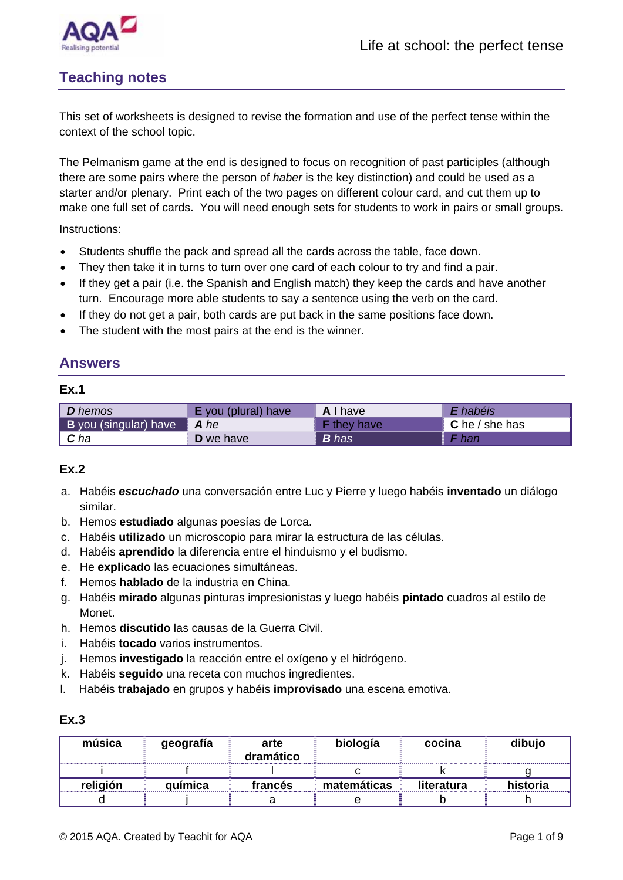



# **Teaching notes**

This set of worksheets is designed to revise the formation and use of the perfect tense within the context of the school topic.

The Pelmanism game at the end is designed to focus on recognition of past participles (although there are some pairs where the person of *haber* is the key distinction) and could be used as a starter and/or plenary. Print each of the two pages on different colour card, and cut them up to make one full set of cards. You will need enough sets for students to work in pairs or small groups.

Instructions:

- Students shuffle the pack and spread all the cards across the table, face down.
- They then take it in turns to turn over one card of each colour to try and find a pair.
- If they get a pair (i.e. the Spanish and English match) they keep the cards and have another turn. Encourage more able students to say a sentence using the verb on the card.
- If they do not get a pair, both cards are put back in the same positions face down.
- The student with the most pairs at the end is the winner.

# **Answers**

#### **Ex.1**

| <b>D</b> hemos               | <b>E</b> you (plural) have | A I have           | <b>E</b> habéis |
|------------------------------|----------------------------|--------------------|-----------------|
| <b>B</b> you (singular) have | A he                       | <b>F</b> they have | C he / she has  |
| $\mid$ C ha                  | <b>D</b> we have           | <b>B</b> has       | <b>F</b> han    |

### **Ex.2**

- a. Habéis *escuchado* una conversación entre Luc y Pierre y luego habéis **inventado** un diálogo similar.
- b. Hemos **estudiado** algunas poesías de Lorca.
- c. Habéis **utilizado** un microscopio para mirar la estructura de las células.
- d. Habéis **aprendido** la diferencia entre el hinduismo y el budismo.
- e. He **explicado** las ecuaciones simultáneas.
- f. Hemos **hablado** de la industria en China.
- g. Habéis **mirado** algunas pinturas impresionistas y luego habéis **pintado** cuadros al estilo de Monet.
- h. Hemos **discutido** las causas de la Guerra Civil.
- i. Habéis **tocado** varios instrumentos.
- j. Hemos **investigado** la reacción entre el oxígeno y el hidrógeno.
- k. Habéis **seguido** una receta con muchos ingredientes.
- l. Habéis **trabajado** en grupos y habéis **improvisado** una escena emotiva.

| música   | geografía | arte<br>dramático | biología    | cocina     | dibujo   |
|----------|-----------|-------------------|-------------|------------|----------|
|          |           |                   |             |            |          |
| religión | química   | francés           | matemáticas | literatura | historia |
|          |           |                   |             |            |          |

### **Ex.3**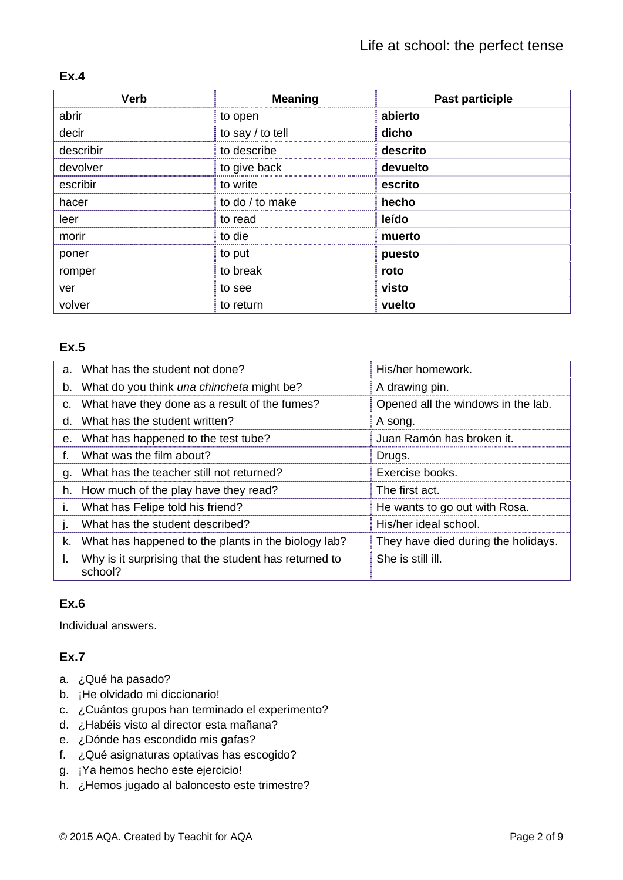| Verb      | <b>Meaning</b>   | <b>Past participle</b> |
|-----------|------------------|------------------------|
| abrir     | to open          | abierto                |
| decir     | to say / to tell | dicho                  |
| describir | to describe      | descrito               |
| devolver  | to give back     | devuelto               |
| escribir  | to write         | escrito                |
| hacer     | to do / to make  | hecho                  |
| leer      | to read          | leído                  |
| morir     | to die           | muerto                 |
| poner     | to put           | puesto                 |
| romper    | to break         | roto                   |
| ver       | to see           | visto                  |
| volver    | to return        | vuelto                 |

# **Ex.4**

# **Ex.5**

|              | a. What has the student not done?                                | His/her homework.                   |
|--------------|------------------------------------------------------------------|-------------------------------------|
|              | b. What do you think una chincheta might be?                     | A drawing pin.                      |
|              | c. What have they done as a result of the fumes?                 | Opened all the windows in the lab.  |
|              | d. What has the student written?                                 | ∃A song.                            |
|              | e. What has happened to the test tube?                           | Juan Ramón has broken it.           |
|              | f. What was the film about?                                      | Drugs.                              |
|              | g. What has the teacher still not returned?                      | Exercise books.                     |
|              | h. How much of the play have they read?                          | The first act.                      |
| $\mathbf{L}$ | What has Felipe told his friend?                                 | He wants to go out with Rosa.       |
| $\mathbf{L}$ | What has the student described?                                  | His/her ideal school.               |
|              | k. What has happened to the plants in the biology lab?           | They have died during the holidays. |
| I.           | Why is it surprising that the student has returned to<br>school? | She is still ill.                   |

# **Ex.6**

Individual answers.

# **Ex.7**

- a. ¿Qué ha pasado?
- b. ¡He olvidado mi diccionario!
- c. ¿Cuántos grupos han terminado el experimento?
- d. ¿Habéis visto al director esta mañana?
- e. ¿Dónde has escondido mis gafas?
- f. ¿Qué asignaturas optativas has escogido?
- g. ¡Ya hemos hecho este ejercicio!
- h. ¿Hemos jugado al baloncesto este trimestre?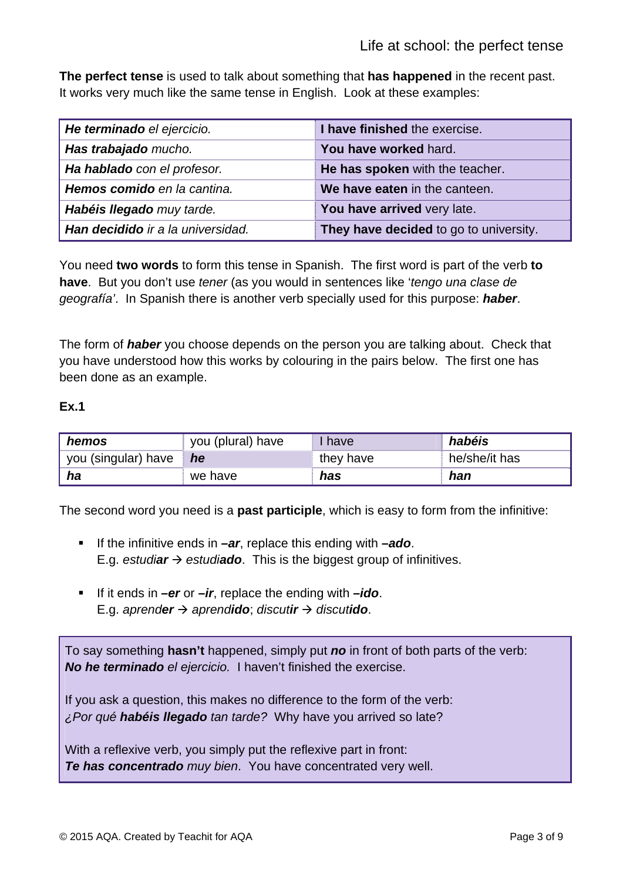**The perfect tense** is used to talk about something that **has happened** in the recent past. It works very much like the same tense in English. Look at these examples:

| He terminado el ejercicio.        | I have finished the exercise.          |
|-----------------------------------|----------------------------------------|
| Has trabajado mucho.              | You have worked hard.                  |
| Ha hablado con el profesor.       | He has spoken with the teacher.        |
| Hemos comido en la cantina.       | We have eaten in the canteen.          |
| Habéis llegado muy tarde.         | You have arrived very late.            |
| Han decidido ir a la universidad. | They have decided to go to university. |

You need **two words** to form this tense in Spanish. The first word is part of the verb **to have**. But you don't use *tener* (as you would in sentences like '*tengo una clase de geografía'*. In Spanish there is another verb specially used for this purpose: *haber*.

The form of *haber* you choose depends on the person you are talking about. Check that you have understood how this works by colouring in the pairs below. The first one has been done as an example.

# **Ex.1**

| hemos               | you (plural) have | have      | habéis        |
|---------------------|-------------------|-----------|---------------|
| you (singular) have | he                | they have | he/she/it has |
| ha                  | we have           | has       | han           |

The second word you need is a **past participle**, which is easy to form from the infinitive:

- If the infinitive ends in **–ar**, replace this ending with **–ado**. E.g. *estudiar*  $\rightarrow$  *estudiado*. This is the biggest group of infinitives.
- If it ends in **–er** or **–ir**, replace the ending with **–ido**. E.g. *aprender*  $\rightarrow$  *aprendido*; *discutir*  $\rightarrow$  *discutido*.

To say something **hasn't** happened, simply put *no* in front of both parts of the verb: *No he terminado el ejercicio.* I haven't finished the exercise.

If you ask a question, this makes no difference to the form of the verb: *¿Por qué habéis llegado tan tarde?* Why have you arrived so late?

With a reflexive verb, you simply put the reflexive part in front: *Te has concentrado muy bien*. You have concentrated very well.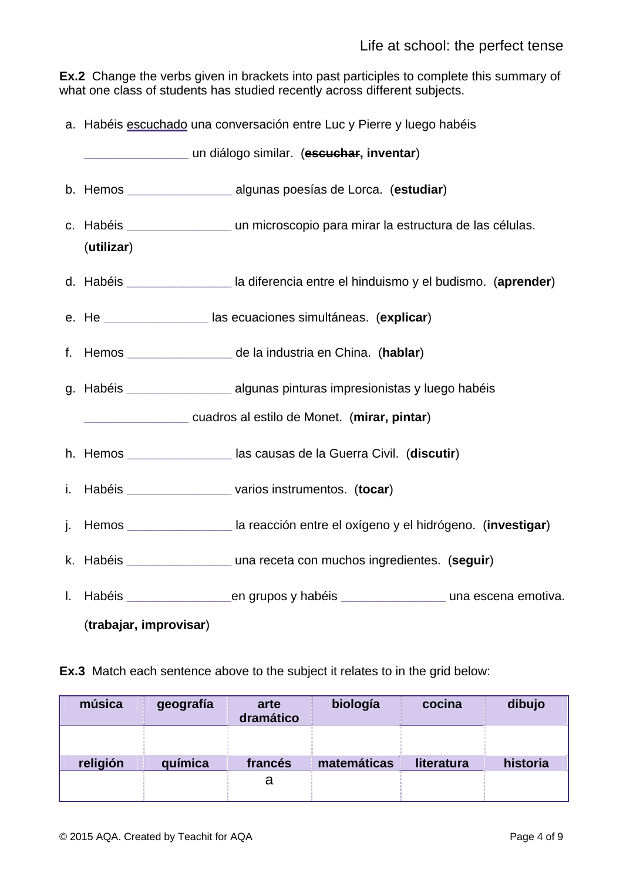**Ex.2** Change the verbs given in brackets into past participles to complete this summary of what one class of students has studied recently across different subjects.

a. Habéis escuchado una conversación entre Luc y Pierre y luego habéis

| un diálogo similar. (escuchar, inventar)                                                                 |  |
|----------------------------------------------------------------------------------------------------------|--|
| b. Hemos _______________________ algunas poesías de Lorca. (estudiar)                                    |  |
| c. Habéis ________________________ un microscopio para mirar la estructura de las células.<br>(utilizar) |  |
| d. Habéis ____________________ la diferencia entre el hinduismo y el budismo. (aprender)                 |  |
| e. He _____________________las ecuaciones simultáneas. (explicar)                                        |  |
| f. Hemos __________________ de la industria en China. (hablar)                                           |  |
| g. Habéis ______________________ algunas pinturas impresionistas y luego habéis                          |  |
| cuadros al estilo de Monet. (mirar, pintar)                                                              |  |
| h. Hemos __________________ las causas de la Guerra Civil. (discutir)                                    |  |
| i. Habéis _____________________varios instrumentos. (tocar)                                              |  |
| j. Hemos __________________ la reacción entre el oxígeno y el hidrógeno. (investigar)                    |  |
| k. Habéis ___________________ una receta con muchos ingredientes. (seguir)                               |  |
|                                                                                                          |  |
| (trabajar, improvisar)                                                                                   |  |

**Ex.3** Match each sentence above to the subject it relates to in the grid below:

| música   | geografía | arte<br>dramático | biología    | cocina     | dibujo   |
|----------|-----------|-------------------|-------------|------------|----------|
|          |           |                   |             |            |          |
| religión | química   | francés           | matemáticas | literatura | historia |
|          |           | a                 |             |            |          |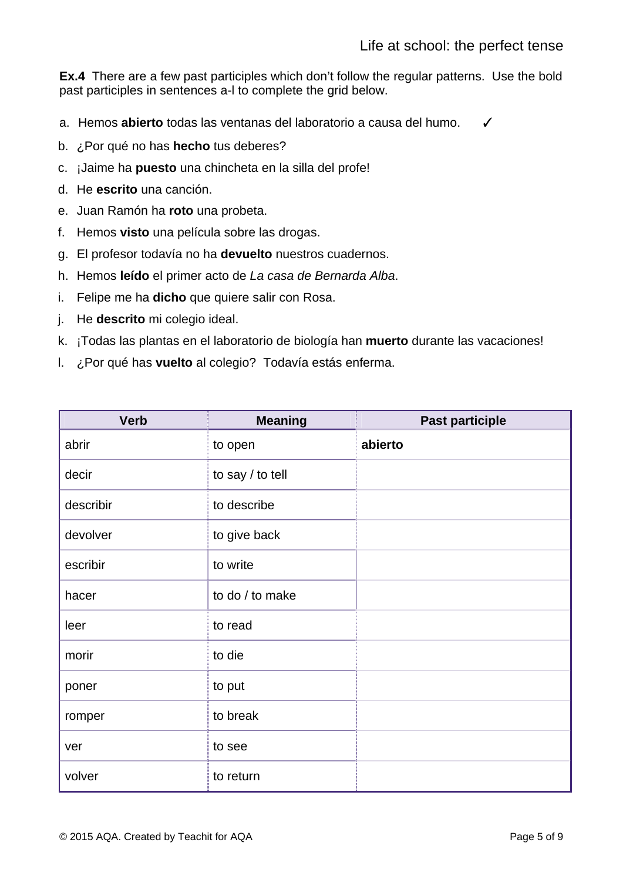**Ex.4** There are a few past participles which don't follow the regular patterns. Use the bold past participles in sentences a-l to complete the grid below.

a. Hemos **abierto** todas las ventanas del laboratorio a causa del humo. ✓

- b. ¿Por qué no has **hecho** tus deberes?
- c. ¡Jaime ha **puesto** una chincheta en la silla del profe!
- d. He **escrito** una canción.
- e. Juan Ramón ha **roto** una probeta.
- f. Hemos **visto** una película sobre las drogas.
- g. El profesor todavía no ha **devuelto** nuestros cuadernos.
- h. Hemos **leído** el primer acto de *La casa de Bernarda Alba*.
- i. Felipe me ha **dicho** que quiere salir con Rosa.
- j. He **descrito** mi colegio ideal.
- k. ¡Todas las plantas en el laboratorio de biología han **muerto** durante las vacaciones!
- l. ¿Por qué has **vuelto** al colegio? Todavía estás enferma.

| <b>Verb</b> | <b>Meaning</b>   | <b>Past participle</b> |
|-------------|------------------|------------------------|
| abrir       | to open          | abierto                |
| decir       | to say / to tell |                        |
| describir   | to describe      |                        |
| devolver    | to give back     |                        |
| escribir    | to write         |                        |
| hacer       | to do / to make  |                        |
| leer        | to read          |                        |
| morir       | to die           |                        |
| poner       | to put           |                        |
| romper      | to break         |                        |
| ver         | to see           |                        |
| volver      | to return        |                        |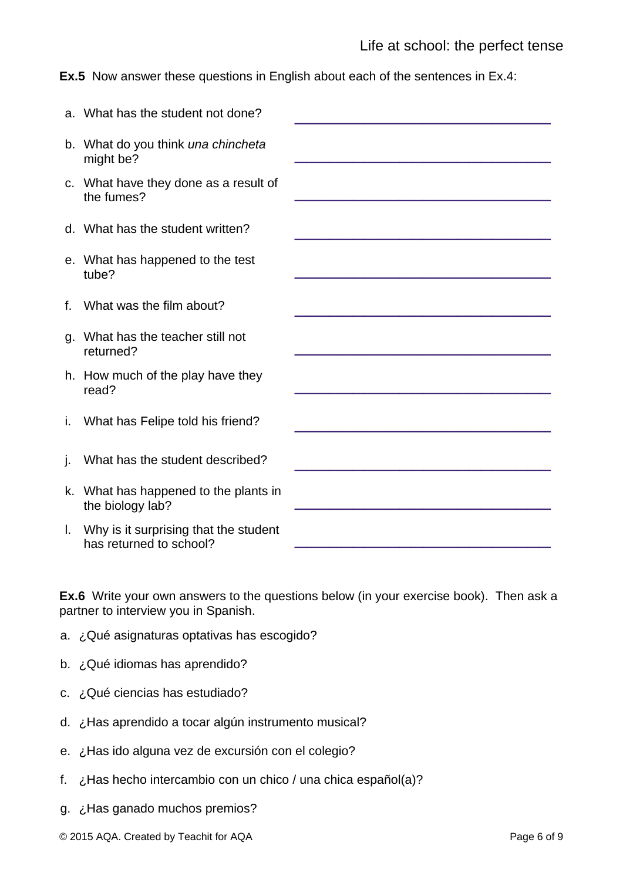**Ex.5** Now answer these questions in English about each of the sentences in Ex.4:

|    | a. What has the student not done?                                |  |
|----|------------------------------------------------------------------|--|
|    | b. What do you think una chincheta<br>might be?                  |  |
|    | c. What have they done as a result of<br>the fumes?              |  |
|    | d. What has the student written?                                 |  |
|    | e. What has happened to the test<br>tube?                        |  |
|    | f. What was the film about?                                      |  |
|    | g. What has the teacher still not<br>returned?                   |  |
|    | h. How much of the play have they<br>read?                       |  |
|    | i. What has Felipe told his friend?                              |  |
| j. | What has the student described?                                  |  |
|    | k. What has happened to the plants in<br>the biology lab?        |  |
| L. | Why is it surprising that the student<br>has returned to school? |  |

**Ex.6** Write your own answers to the questions below (in your exercise book). Then ask a partner to interview you in Spanish.

- a. ¿Qué asignaturas optativas has escogido?
- b. ¿Qué idiomas has aprendido?
- c. ¿Qué ciencias has estudiado?
- d. ¿Has aprendido a tocar algún instrumento musical?
- e. ¿Has ido alguna vez de excursión con el colegio?
- f. ¿Has hecho intercambio con un chico / una chica español(a)?
- g. ¿Has ganado muchos premios?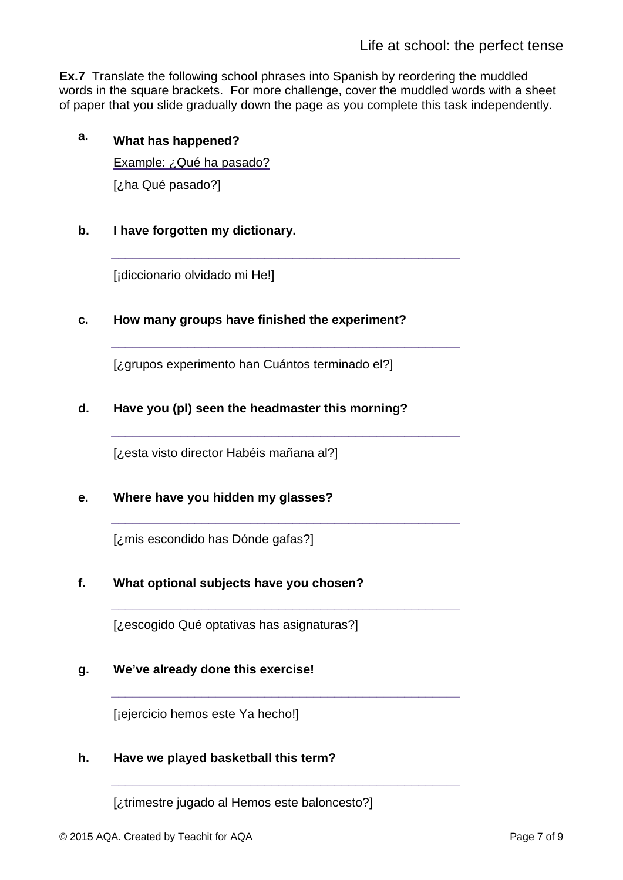**Ex.7** Translate the following school phrases into Spanish by reordering the muddled words in the square brackets. For more challenge, cover the muddled words with a sheet of paper that you slide gradually down the page as you complete this task independently.

**\_\_\_\_\_\_\_\_\_\_\_\_\_\_\_\_\_\_\_\_\_\_\_\_\_\_\_\_\_\_\_\_\_\_\_\_\_\_\_\_\_\_\_\_\_\_\_\_\_\_** 

**\_\_\_\_\_\_\_\_\_\_\_\_\_\_\_\_\_\_\_\_\_\_\_\_\_\_\_\_\_\_\_\_\_\_\_\_\_\_\_\_\_\_\_\_\_\_\_\_\_\_**

**\_\_\_\_\_\_\_\_\_\_\_\_\_\_\_\_\_\_\_\_\_\_\_\_\_\_\_\_\_\_\_\_\_\_\_\_\_\_\_\_\_\_\_\_\_\_\_\_\_\_**

**\_\_\_\_\_\_\_\_\_\_\_\_\_\_\_\_\_\_\_\_\_\_\_\_\_\_\_\_\_\_\_\_\_\_\_\_\_\_\_\_\_\_\_\_\_\_\_\_\_\_**

**\_\_\_\_\_\_\_\_\_\_\_\_\_\_\_\_\_\_\_\_\_\_\_\_\_\_\_\_\_\_\_\_\_\_\_\_\_\_\_\_\_\_\_\_\_\_\_\_\_\_**

**\_\_\_\_\_\_\_\_\_\_\_\_\_\_\_\_\_\_\_\_\_\_\_\_\_\_\_\_\_\_\_\_\_\_\_\_\_\_\_\_\_\_\_\_\_\_\_\_\_\_**

**\_\_\_\_\_\_\_\_\_\_\_\_\_\_\_\_\_\_\_\_\_\_\_\_\_\_\_\_\_\_\_\_\_\_\_\_\_\_\_\_\_\_\_\_\_\_\_\_\_\_**

# **a. What has happened?**

Example: ¿Qué ha pasado? [¿ha Qué pasado?]

# **b. I have forgotten my dictionary.**

[¡diccionario olvidado mi He!]

# **c. How many groups have finished the experiment?**

[¿grupos experimento han Cuántos terminado el?]

# **d. Have you (pl) seen the headmaster this morning?**

[¿esta visto director Habéis mañana al?]

# **e. Where have you hidden my glasses?**

[¿mis escondido has Dónde gafas?]

### **f. What optional subjects have you chosen?**

[¿escogido Qué optativas has asignaturas?]

### **g. We've already done this exercise!**

[¡ejercicio hemos este Ya hecho!]

### **h. Have we played basketball this term?**

[¿trimestre jugado al Hemos este baloncesto?]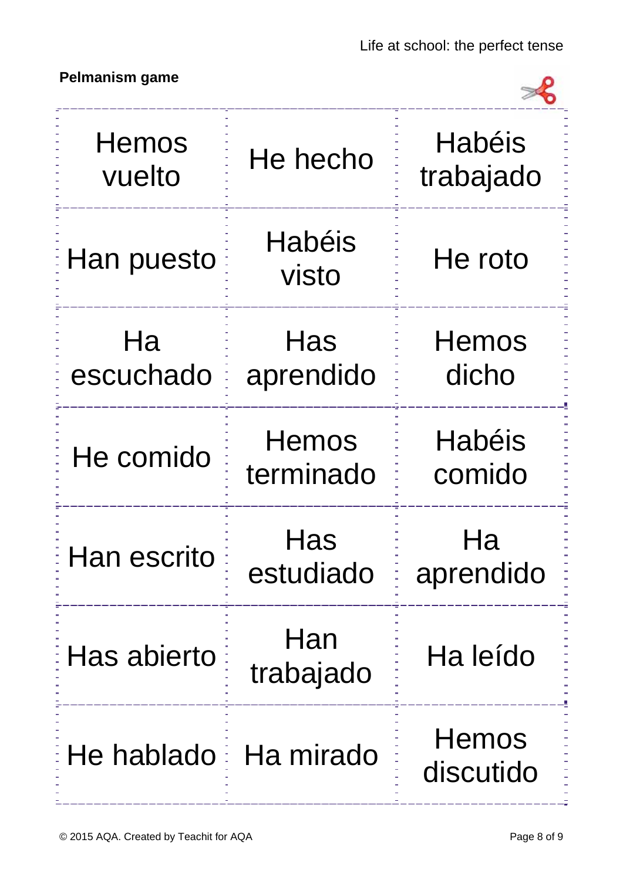# **Pelmanism game**



| Hemos<br>vuelto        | He hecho           | <b>Habéis</b><br>trabajado |
|------------------------|--------------------|----------------------------|
| Han puesto             | Habéis<br>visto    | He roto                    |
| Ha<br>escuchado        | Has<br>aprendido   | Hemos<br>dicho             |
| He comido              | Hemos<br>terminado | <b>Habéis</b><br>comido    |
| Han escrito            | Has<br>estudiado   | Ha<br>aprendido            |
| Has abierto            | Han<br>trabajado   | Ha leído                   |
| He hablado E Ha mirado |                    | <b>Hemos</b><br>discutido  |